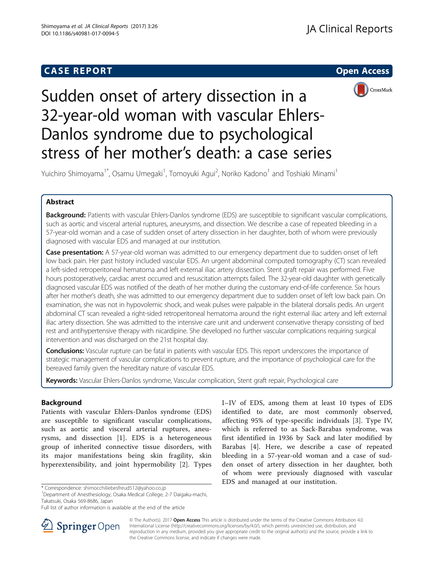# **CASE REPORT CASE REPORT**





Sudden onset of artery dissection in a 32-year-old woman with vascular Ehlers-Danlos syndrome due to psychological stress of her mother's death: a case series

Yuichiro Shimoyama<sup>1\*</sup>, Osamu Umegaki<sup>1</sup>, Tomoyuki Agui<sup>2</sup>, Noriko Kadono<sup>1</sup> and Toshiaki Minami<sup>1</sup>

## Abstract

Background: Patients with vascular Ehlers-Danlos syndrome (EDS) are susceptible to significant vascular complications, such as aortic and visceral arterial ruptures, aneurysms, and dissection. We describe a case of repeated bleeding in a 57-year-old woman and a case of sudden onset of artery dissection in her daughter, both of whom were previously diagnosed with vascular EDS and managed at our institution.

Case presentation: A 57-year-old woman was admitted to our emergency department due to sudden onset of left low back pain. Her past history included vascular EDS. An urgent abdominal computed tomography (CT) scan revealed a left-sided retroperitoneal hematoma and left external iliac artery dissection. Stent graft repair was performed. Five hours postoperatively, cardiac arrest occurred and resuscitation attempts failed. The 32-year-old daughter with genetically diagnosed vascular EDS was notified of the death of her mother during the customary end-of-life conference. Six hours after her mother's death, she was admitted to our emergency department due to sudden onset of left low back pain. On examination, she was not in hypovolemic shock, and weak pulses were palpable in the bilateral dorsalis pedis. An urgent abdominal CT scan revealed a right-sided retroperitoneal hematoma around the right external iliac artery and left external iliac artery dissection. She was admitted to the intensive care unit and underwent conservative therapy consisting of bed rest and antihypertensive therapy with nicardipine. She developed no further vascular complications requiring surgical intervention and was discharged on the 21st hospital day.

Conclusions: Vascular rupture can be fatal in patients with vascular EDS. This report underscores the importance of strategic management of vascular complications to prevent rupture, and the importance of psychological care for the bereaved family given the hereditary nature of vascular EDS.

Keywords: Vascular Ehlers-Danlos syndrome, Vascular complication, Stent graft repair, Psychological care

## Background

Patients with vascular Ehlers-Danlos syndrome (EDS) are susceptible to significant vascular complications, such as aortic and visceral arterial ruptures, aneurysms, and dissection [[1\]](#page-2-0). EDS is a heterogeneous group of inherited connective tissue disorders, with its major manifestations being skin fragility, skin hyperextensibility, and joint hypermobility [[2\]](#page-2-0). Types

\* Correspondence: [shimocchiliebesfreud512@yahoo.co.jp](mailto:shimocchiliebesfreud512@yahoo.co.jp) <sup>1</sup>

Department of Anesthesiology, Osaka Medical College, 2-7 Daigaku-machi, Takatsuki, Osaka 569-8686, Japan

I–IV of EDS, among them at least 10 types of EDS identified to date, are most commonly observed, affecting 95% of type-specific individuals [\[3](#page-2-0)]. Type IV, which is referred to as Sack-Barabas syndrome, was first identified in 1936 by Sack and later modified by Barabas [\[4](#page-2-0)]. Here, we describe a case of repeated bleeding in a 57-year-old woman and a case of sudden onset of artery dissection in her daughter, both of whom were previously diagnosed with vascular EDS and managed at our institution.



© The Author(s). 2017 Open Access This article is distributed under the terms of the Creative Commons Attribution 4.0 International License ([http://creativecommons.org/licenses/by/4.0/\)](http://creativecommons.org/licenses/by/4.0/), which permits unrestricted use, distribution, and reproduction in any medium, provided you give appropriate credit to the original author(s) and the source, provide a link to the Creative Commons license, and indicate if changes were made.

Full list of author information is available at the end of the article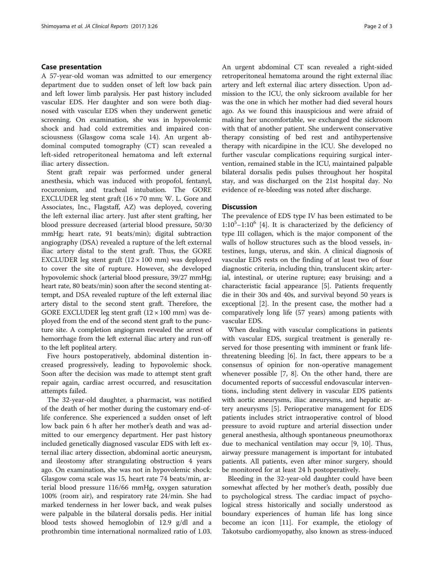## Case presentation

A 57-year-old woman was admitted to our emergency department due to sudden onset of left low back pain and left lower limb paralysis. Her past history included vascular EDS. Her daughter and son were both diagnosed with vascular EDS when they underwent genetic screening. On examination, she was in hypovolemic shock and had cold extremities and impaired consciousness (Glasgow coma scale 14). An urgent abdominal computed tomography (CT) scan revealed a left-sided retroperitoneal hematoma and left external iliac artery dissection.

Stent graft repair was performed under general anesthesia, which was induced with propofol, fentanyl, rocuronium, and tracheal intubation. The GORE EXCLUDER leg stent graft (16 × 70 mm; W. L. Gore and Associates, Inc., Flagstaff, AZ) was deployed, covering the left external iliac artery. Just after stent grafting, her blood pressure decreased (arterial blood pressure, 50/30 mmHg; heart rate, 91 beats/min); digital subtraction angiography (DSA) revealed a rupture of the left external iliac artery distal to the stent graft. Thus, the GORE EXCLUDER leg stent graft  $(12 \times 100 \text{ mm})$  was deployed to cover the site of rupture. However, she developed hypovolemic shock (arterial blood pressure, 39/27 mmHg; heart rate, 80 beats/min) soon after the second stenting attempt, and DSA revealed rupture of the left external iliac artery distal to the second stent graft. Therefore, the GORE EXCLUDER leg stent graft  $(12 \times 100 \text{ mm})$  was deployed from the end of the second stent graft to the puncture site. A completion angiogram revealed the arrest of hemorrhage from the left external iliac artery and run-off to the left popliteal artery.

Five hours postoperatively, abdominal distention increased progressively, leading to hypovolemic shock. Soon after the decision was made to attempt stent graft repair again, cardiac arrest occurred, and resuscitation attempts failed.

The 32-year-old daughter, a pharmacist, was notified of the death of her mother during the customary end-oflife conference. She experienced a sudden onset of left low back pain 6 h after her mother's death and was admitted to our emergency department. Her past history included genetically diagnosed vascular EDS with left external iliac artery dissection, abdominal aortic aneurysm, and ileostomy after strangulating obstruction 4 years ago. On examination, she was not in hypovolemic shock: Glasgow coma scale was 15, heart rate 74 beats/min, arterial blood pressure 116/66 mmHg, oxygen saturation 100% (room air), and respiratory rate 24/min. She had marked tenderness in her lower back, and weak pulses were palpable in the bilateral dorsalis pedis. Her initial blood tests showed hemoglobin of 12.9 g/dl and a prothrombin time international normalized ratio of 1.03. An urgent abdominal CT scan revealed a right-sided retroperitoneal hematoma around the right external iliac artery and left external iliac artery dissection. Upon admission to the ICU, the only sickroom available for her was the one in which her mother had died several hours ago. As we found this inauspicious and were afraid of making her uncomfortable, we exchanged the sickroom with that of another patient. She underwent conservative therapy consisting of bed rest and antihypertensive therapy with nicardipine in the ICU. She developed no further vascular complications requiring surgical intervention, remained stable in the ICU, maintained palpable bilateral dorsalis pedis pulses throughout her hospital stay, and was discharged on the 21st hospital day. No evidence of re-bleeding was noted after discharge.

## **Discussion**

The prevalence of EDS type IV has been estimated to be 1:10<sup>5</sup>-1:10<sup>6</sup> [\[4](#page-2-0)]. It is characterized by the deficiency of type III collagen, which is the major component of the walls of hollow structures such as the blood vessels, intestines, lungs, uterus, and skin. A clinical diagnosis of vascular EDS rests on the finding of at least two of four diagnostic criteria, including thin, translucent skin; arterial, intestinal, or uterine rupture; easy bruising; and a characteristic facial appearance [\[5](#page-2-0)]. Patients frequently die in their 30s and 40s, and survival beyond 50 years is exceptional [[2\]](#page-2-0). In the present case, the mother had a comparatively long life (57 years) among patients with vascular EDS.

When dealing with vascular complications in patients with vascular EDS, surgical treatment is generally reserved for those presenting with imminent or frank lifethreatening bleeding [[6\]](#page-2-0). In fact, there appears to be a consensus of opinion for non-operative management whenever possible [[7, 8](#page-2-0)]. On the other hand, there are documented reports of successful endovascular interventions, including stent delivery in vascular EDS patients with aortic aneurysms, iliac aneurysms, and hepatic artery aneurysms [[5](#page-2-0)]. Perioperative management for EDS patients includes strict intraoperative control of blood pressure to avoid rupture and arterial dissection under general anesthesia, although spontaneous pneumothorax due to mechanical ventilation may occur [[9, 10\]](#page-2-0). Thus, airway pressure management is important for intubated patients. All patients, even after minor surgery, should be monitored for at least 24 h postoperatively.

Bleeding in the 32-year-old daughter could have been somewhat affected by her mother's death, possibly due to psychological stress. The cardiac impact of psychological stress historically and socially understood as boundary experiences of human life has long since become an icon [\[11\]](#page-2-0). For example, the etiology of Takotsubo cardiomyopathy, also known as stress-induced